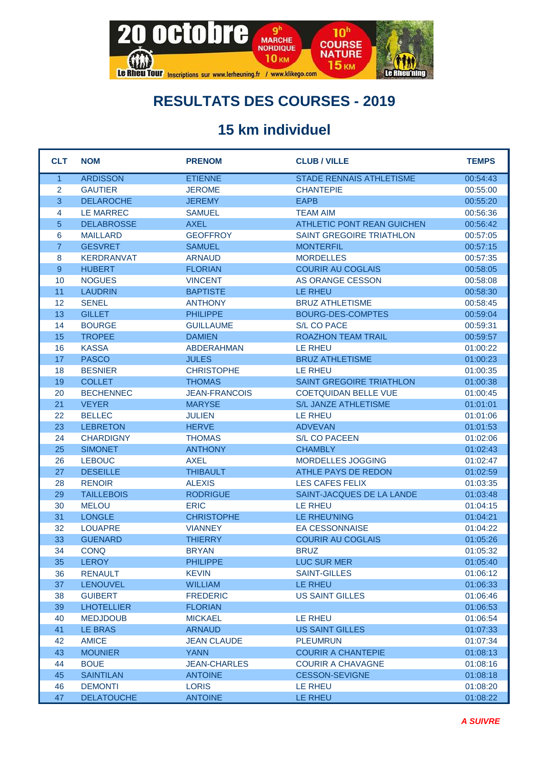

#### **RESULTATS DES COURSES - 2019**

#### **15 km individuel**

| <b>CLT</b>     | <b>NOM</b>        | <b>PRENOM</b>        | <b>CLUB / VILLE</b>               | <b>TEMPS</b> |
|----------------|-------------------|----------------------|-----------------------------------|--------------|
| $\overline{1}$ | <b>ARDISSON</b>   | <b>ETIENNE</b>       | STADE RENNAIS ATHLETISME          | 00:54:43     |
| 2              | <b>GAUTIER</b>    | <b>JEROME</b>        | <b>CHANTEPIE</b>                  | 00:55:00     |
| 3              | <b>DELAROCHE</b>  | <b>JEREMY</b>        | <b>EAPB</b>                       | 00:55:20     |
| 4              | <b>LE MARREC</b>  | <b>SAMUEL</b>        | <b>TEAM AIM</b>                   | 00:56:36     |
| 5              | <b>DELABROSSE</b> | <b>AXEL</b>          | <b>ATHLETIC PONT REAN GUICHEN</b> | 00:56:42     |
| 6              | <b>MAILLARD</b>   | <b>GEOFFROY</b>      | SAINT GREGOIRE TRIATHLON          | 00:57:05     |
| $\overline{7}$ | <b>GESVRET</b>    | <b>SAMUEL</b>        | <b>MONTERFIL</b>                  | 00:57:15     |
| 8              | <b>KERDRANVAT</b> | <b>ARNAUD</b>        | <b>MORDELLES</b>                  | 00:57:35     |
| 9              | <b>HUBERT</b>     | <b>FLORIAN</b>       | <b>COURIR AU COGLAIS</b>          | 00:58:05     |
| 10             | <b>NOGUES</b>     | <b>VINCENT</b>       | AS ORANGE CESSON                  | 00:58:08     |
| 11             | <b>LAUDRIN</b>    | <b>BAPTISTE</b>      | LE RHEU                           | 00:58:30     |
| 12             | <b>SENEL</b>      | <b>ANTHONY</b>       | <b>BRUZ ATHLETISME</b>            | 00:58:45     |
| 13             | <b>GILLET</b>     | <b>PHILIPPE</b>      | <b>BOURG-DES-COMPTES</b>          | 00:59:04     |
| 14             | <b>BOURGE</b>     | <b>GUILLAUME</b>     | <b>S/L CO PACE</b>                | 00:59:31     |
| 15             | <b>TROPEE</b>     | <b>DAMIEN</b>        | <b>ROAZHON TEAM TRAIL</b>         | 00:59:57     |
| 16             | <b>KASSA</b>      | <b>ABDERAHMAN</b>    | LE RHEU                           | 01:00:22     |
| 17             | <b>PASCO</b>      | <b>JULES</b>         | <b>BRUZ ATHLETISME</b>            | 01:00:23     |
| 18             | <b>BESNIER</b>    | <b>CHRISTOPHE</b>    | LE RHEU                           | 01:00:35     |
| 19             | <b>COLLET</b>     | <b>THOMAS</b>        | <b>SAINT GREGOIRE TRIATHLON</b>   | 01:00:38     |
| 20             | <b>BECHENNEC</b>  | <b>JEAN-FRANCOIS</b> | <b>COETQUIDAN BELLE VUE</b>       | 01:00:45     |
| 21             | <b>VEYER</b>      | <b>MARYSE</b>        | S/L JANZE ATHLETISME              | 01:01:01     |
| 22             | <b>BELLEC</b>     | <b>JULIEN</b>        | LE RHEU                           | 01:01:06     |
| 23             | <b>LEBRETON</b>   | <b>HERVE</b>         | <b>ADVEVAN</b>                    | 01:01:53     |
| 24             | <b>CHARDIGNY</b>  | <b>THOMAS</b>        | <b>S/L CO PACEEN</b>              | 01:02:06     |
| 25             | <b>SIMONET</b>    | <b>ANTHONY</b>       | <b>CHAMBLY</b>                    | 01:02:43     |
| 26             | <b>LEBOUC</b>     | <b>AXEL</b>          | <b>MORDELLES JOGGING</b>          | 01:02:47     |
| 27             | <b>DESEILLE</b>   | <b>THIBAULT</b>      | ATHLE PAYS DE REDON               | 01:02:59     |
| 28             | <b>RENOIR</b>     | <b>ALEXIS</b>        | LES CAFES FELIX                   | 01:03:35     |
| 29             | <b>TAILLEBOIS</b> | <b>RODRIGUE</b>      | SAINT-JACQUES DE LA LANDE         | 01:03:48     |
| 30             | <b>MELOU</b>      | <b>ERIC</b>          | LE RHEU                           | 01:04:15     |
| 31             | <b>LONGLE</b>     | <b>CHRISTOPHE</b>    | LE RHEU'NING                      | 01:04:21     |
| 32             | <b>LOUAPRE</b>    | <b>VIANNEY</b>       | <b>EA CESSONNAISE</b>             | 01:04:22     |
| 33             | <b>GUENARD</b>    | <b>THIERRY</b>       | <b>COURIR AU COGLAIS</b>          | 01:05:26     |
| 34             | <b>CONQ</b>       | <b>BRYAN</b>         | <b>BRUZ</b>                       | 01:05:32     |
| 35             | LEROY             | <b>PHILIPPE</b>      | LUC SUR MER                       | 01:05:40     |
| 36             | <b>RENAULT</b>    | <b>KEVIN</b>         | <b>SAINT-GILLES</b>               | 01:06:12     |
| 37             | <b>LENOUVEL</b>   | <b>WILLIAM</b>       | LE RHEU                           | 01:06:33     |
| 38             | <b>GUIBERT</b>    | <b>FREDERIC</b>      | <b>US SAINT GILLES</b>            | 01:06:46     |
| 39             | <b>LHOTELLIER</b> | <b>FLORIAN</b>       |                                   | 01:06:53     |
| 40             | <b>MEDJDOUB</b>   | <b>MICKAEL</b>       | <b>LE RHEU</b>                    | 01:06:54     |
| 41             | <b>LE BRAS</b>    | <b>ARNAUD</b>        | <b>US SAINT GILLES</b>            | 01:07:33     |
| 42             | <b>AMICE</b>      | <b>JEAN CLAUDE</b>   | <b>PLEUMRUN</b>                   | 01:07:34     |
| 43             | <b>MOUNIER</b>    | <b>YANN</b>          | <b>COURIR A CHANTEPIE</b>         | 01:08:13     |
| 44             | <b>BOUE</b>       | <b>JEAN-CHARLES</b>  | <b>COURIR A CHAVAGNE</b>          | 01:08:16     |
| 45             | <b>SAINTILAN</b>  | <b>ANTOINE</b>       | <b>CESSON-SEVIGNE</b>             | 01:08:18     |
| 46             | <b>DEMONTI</b>    | <b>LORIS</b>         | LE RHEU                           | 01:08:20     |
| 47             | <b>DELATOUCHE</b> | <b>ANTOINE</b>       | LE RHEU                           | 01:08:22     |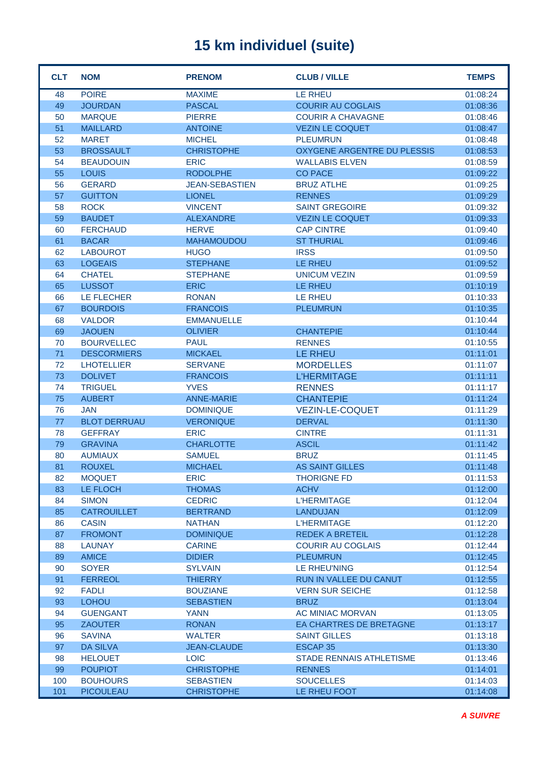| <b>CLT</b> | <b>NOM</b>          | <b>PRENOM</b>         | <b>CLUB / VILLE</b>                | <b>TEMPS</b> |
|------------|---------------------|-----------------------|------------------------------------|--------------|
| 48         | <b>POIRE</b>        | <b>MAXIME</b>         | <b>LE RHEU</b>                     | 01:08:24     |
| 49         | <b>JOURDAN</b>      | <b>PASCAL</b>         | <b>COURIR AU COGLAIS</b>           | 01:08:36     |
| 50         | <b>MARQUE</b>       | <b>PIERRE</b>         | <b>COURIR A CHAVAGNE</b>           | 01:08:46     |
| 51         | <b>MAILLARD</b>     | <b>ANTOINE</b>        | <b>VEZIN LE COQUET</b>             | 01:08:47     |
| 52         | <b>MARET</b>        | <b>MICHEL</b>         | <b>PLEUMRUN</b>                    | 01:08:48     |
| 53         | <b>BROSSAULT</b>    | <b>CHRISTOPHE</b>     | <b>OXYGENE ARGENTRE DU PLESSIS</b> | 01:08:53     |
| 54         | <b>BEAUDOUIN</b>    | <b>ERIC</b>           | <b>WALLABIS ELVEN</b>              | 01:08:59     |
| 55         | <b>LOUIS</b>        | <b>RODOLPHE</b>       | <b>CO PACE</b>                     | 01:09:22     |
| 56         | <b>GERARD</b>       | <b>JEAN-SEBASTIEN</b> | <b>BRUZ ATLHE</b>                  | 01:09:25     |
| 57         | <b>GUITTON</b>      | <b>LIONEL</b>         | <b>RENNES</b>                      | 01:09:29     |
| 58         | <b>ROCK</b>         | <b>VINCENT</b>        | <b>SAINT GREGOIRE</b>              | 01:09:32     |
| 59         | <b>BAUDET</b>       | <b>ALEXANDRE</b>      | <b>VEZIN LE COQUET</b>             | 01:09:33     |
| 60         | <b>FERCHAUD</b>     | <b>HERVE</b>          | <b>CAP CINTRE</b>                  | 01:09:40     |
| 61         | <b>BACAR</b>        | <b>MAHAMOUDOU</b>     | <b>ST THURIAL</b>                  | 01:09:46     |
| 62         | <b>LABOUROT</b>     | <b>HUGO</b>           | <b>IRSS</b>                        | 01:09:50     |
| 63         | <b>LOGEAIS</b>      | <b>STEPHANE</b>       | <b>LE RHEU</b>                     | 01:09:52     |
| 64         | <b>CHATEL</b>       | <b>STEPHANE</b>       | <b>UNICUM VEZIN</b>                | 01:09:59     |
| 65         | <b>LUSSOT</b>       | <b>ERIC</b>           | LE RHEU                            | 01:10:19     |
| 66         | LE FLECHER          | <b>RONAN</b>          | <b>LE RHEU</b>                     | 01:10:33     |
| 67         | <b>BOURDOIS</b>     | <b>FRANCOIS</b>       | <b>PLEUMRUN</b>                    | 01:10:35     |
| 68         | <b>VALDOR</b>       | <b>EMMANUELLE</b>     |                                    | 01:10:44     |
| 69         | <b>JAOUEN</b>       | <b>OLIVIER</b>        | <b>CHANTEPIE</b>                   | 01:10:44     |
| 70         | <b>BOURVELLEC</b>   | <b>PAUL</b>           | <b>RENNES</b>                      | 01:10:55     |
| 71         | <b>DESCORMIERS</b>  | <b>MICKAEL</b>        | <b>LE RHEU</b>                     | 01:11:01     |
| 72         | <b>LHOTELLIER</b>   | <b>SERVANE</b>        | <b>MORDELLES</b>                   | 01:11:07     |
| 73         | <b>DOLIVET</b>      | <b>FRANCOIS</b>       | <b>L'HERMITAGE</b>                 | 01:11:11     |
| 74         | <b>TRIGUEL</b>      | <b>YVES</b>           | <b>RENNES</b>                      | 01:11:17     |
| 75         | <b>AUBERT</b>       | <b>ANNE-MARIE</b>     | <b>CHANTEPIE</b>                   | 01:11:24     |
| 76         | <b>JAN</b>          | <b>DOMINIQUE</b>      | <b>VEZIN-LE-COQUET</b>             | 01:11:29     |
| 77         | <b>BLOT DERRUAU</b> | <b>VERONIQUE</b>      | <b>DERVAL</b>                      | 01:11:30     |
| 78         | <b>GEFFRAY</b>      | <b>ERIC</b>           | <b>CINTRE</b>                      | 01:11:31     |
| 79         | <b>GRAVINA</b>      | <b>CHARLOTTE</b>      | <b>ASCIL</b>                       | 01:11:42     |
| 80         | <b>AUMIAUX</b>      | <b>SAMUEL</b>         | <b>BRUZ</b>                        | 01:11:45     |
| 81         | <b>ROUXEL</b>       | <b>MICHAEL</b>        | <b>AS SAINT GILLES</b>             | 01:11:48     |
| 82         | <b>MOQUET</b>       | <b>ERIC</b>           | <b>THORIGNE FD</b>                 | 01:11:53     |
| 83         | LE FLOCH            | <b>THOMAS</b>         | <b>ACHV</b>                        | 01:12:00     |
| 84         | <b>SIMON</b>        | <b>CEDRIC</b>         | <b>L'HERMITAGE</b>                 | 01:12:04     |
| 85         | <b>CATROUILLET</b>  | <b>BERTRAND</b>       | <b>LANDUJAN</b>                    | 01:12:09     |
| 86         | <b>CASIN</b>        | <b>NATHAN</b>         | <b>L'HERMITAGE</b>                 | 01:12:20     |
| 87         | <b>FROMONT</b>      | <b>DOMINIQUE</b>      | <b>REDEK A BRETEIL</b>             | 01:12:28     |
| 88         | <b>LAUNAY</b>       | <b>CARINE</b>         | <b>COURIR AU COGLAIS</b>           | 01:12:44     |
| 89         | <b>AMICE</b>        | <b>DIDIER</b>         | <b>PLEUMRUN</b>                    | 01:12:45     |
| 90         | <b>SOYER</b>        | <b>SYLVAIN</b>        | LE RHEU'NING                       | 01:12:54     |
| 91         | <b>FERREOL</b>      | <b>THIERRY</b>        | RUN IN VALLEE DU CANUT             | 01:12:55     |
| 92         | <b>FADLI</b>        | <b>BOUZIANE</b>       | <b>VERN SUR SEICHE</b>             | 01:12:58     |
| 93         | <b>LOHOU</b>        | <b>SEBASTIEN</b>      | <b>BRUZ</b>                        | 01:13:04     |
| 94         | <b>GUENGANT</b>     | <b>YANN</b>           | AC MINIAC MORVAN                   | 01:13:05     |
| 95         | <b>ZAOUTER</b>      | <b>RONAN</b>          | EA CHARTRES DE BRETAGNE            | 01:13:17     |
| 96         | <b>SAVINA</b>       | <b>WALTER</b>         | <b>SAINT GILLES</b>                | 01:13:18     |
| 97         | <b>DA SILVA</b>     | <b>JEAN-CLAUDE</b>    | ESCAP <sub>35</sub>                | 01:13:30     |
| 98         | <b>HELOUET</b>      | <b>LOIC</b>           | <b>STADE RENNAIS ATHLETISME</b>    | 01:13:46     |
| 99         | <b>POUPIOT</b>      | <b>CHRISTOPHE</b>     | <b>RENNES</b>                      | 01:14:01     |
| 100        | <b>BOUHOURS</b>     | <b>SEBASTIEN</b>      | <b>SOUCELLES</b>                   | 01:14:03     |
| 101        | <b>PICOULEAU</b>    | <b>CHRISTOPHE</b>     | LE RHEU FOOT                       | 01:14:08     |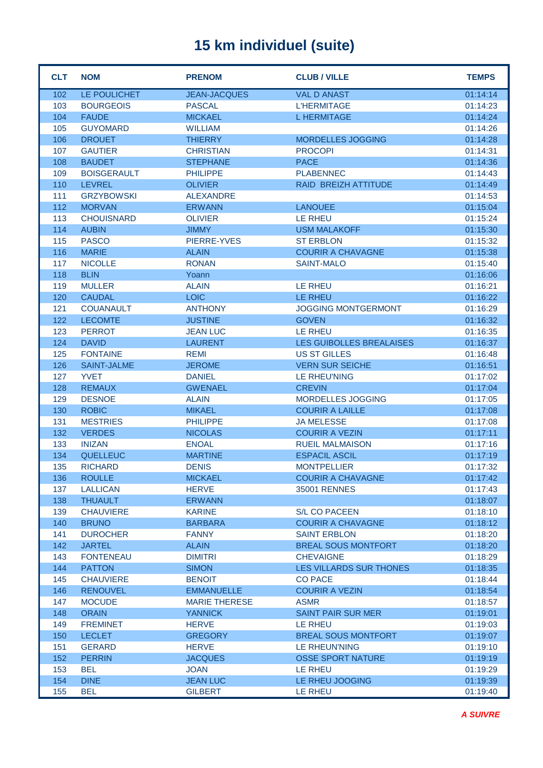| <b>CLT</b> | <b>NOM</b>                         | <b>PRENOM</b>                  | <b>CLUB / VILLE</b>             | <b>TEMPS</b>         |
|------------|------------------------------------|--------------------------------|---------------------------------|----------------------|
| 102        | LE POULICHET                       | <b>JEAN-JACQUES</b>            | <b>VAL D ANAST</b>              | 01:14:14             |
| 103        | <b>BOURGEOIS</b>                   | <b>PASCAL</b>                  | <b>L'HERMITAGE</b>              | 01:14:23             |
| 104        | <b>FAUDE</b>                       | <b>MICKAEL</b>                 | <b>L HERMITAGE</b>              | 01:14:24             |
| 105        | <b>GUYOMARD</b>                    | <b>WILLIAM</b>                 |                                 | 01:14:26             |
| 106        | <b>DROUET</b>                      | <b>THIERRY</b>                 | <b>MORDELLES JOGGING</b>        | 01:14:28             |
| 107        | <b>GAUTIER</b>                     | <b>CHRISTIAN</b>               | <b>PROCOPI</b>                  | 01:14:31             |
| 108        | <b>BAUDET</b>                      | <b>STEPHANE</b>                | <b>PACE</b>                     | 01:14:36             |
| 109        | <b>BOISGERAULT</b>                 | <b>PHILIPPE</b>                | <b>PLABENNEC</b>                | 01:14:43             |
| 110        | <b>LEVREL</b>                      | <b>OLIVIER</b>                 | RAID BREIZH ATTITUDE            | 01:14:49             |
| 111        | <b>GRZYBOWSKI</b>                  | <b>ALEXANDRE</b>               |                                 | 01:14:53             |
| 112        | <b>MORVAN</b>                      | <b>ERWANN</b>                  | <b>LANOUEE</b>                  | 01:15:04             |
| 113        | <b>CHOUISNARD</b>                  | <b>OLIVIER</b>                 | LE RHEU                         | 01:15:24             |
| 114        | <b>AUBIN</b>                       | <b>JIMMY</b>                   | <b>USM MALAKOFF</b>             | 01:15:30             |
| 115        | <b>PASCO</b>                       | PIERRE-YVES                    | <b>ST ERBLON</b>                | 01:15:32             |
| 116        | <b>MARIE</b>                       | <b>ALAIN</b>                   | <b>COURIR A CHAVAGNE</b>        | 01:15:38             |
| 117        | <b>NICOLLE</b>                     | <b>RONAN</b>                   | <b>SAINT-MALO</b>               | 01:15:40             |
| 118        | <b>BLIN</b>                        | Yoann                          |                                 | 01:16:06             |
| 119        | <b>MULLER</b>                      | <b>ALAIN</b>                   | LE RHEU                         | 01:16:21             |
| 120        | <b>CAUDAL</b>                      | <b>LOIC</b>                    | LE RHEU                         | 01:16:22             |
| 121        | <b>COUANAULT</b>                   | <b>ANTHONY</b>                 | <b>JOGGING MONTGERMONT</b>      | 01:16:29             |
| 122        | <b>LECOMTE</b>                     | <b>JUSTINE</b>                 | <b>GOVEN</b>                    | 01:16:32             |
| 123        | <b>PERROT</b>                      | <b>JEAN LUC</b>                | LE RHEU                         | 01:16:35             |
| 124        | <b>DAVID</b>                       | <b>LAURENT</b>                 | <b>LES GUIBOLLES BREALAISES</b> | 01:16:37             |
| 125        | <b>FONTAINE</b>                    | <b>REMI</b>                    | <b>US ST GILLES</b>             | 01:16:48             |
| 126        | <b>SAINT-JALME</b>                 | <b>JEROME</b>                  | <b>VERN SUR SEICHE</b>          | 01:16:51             |
| 127        | <b>YVET</b>                        | <b>DANIEL</b>                  | <b>LE RHEU'NING</b>             | 01:17:02             |
| 128        | <b>REMAUX</b>                      | <b>GWENAEL</b>                 | <b>CREVIN</b>                   | 01:17:04             |
| 129        | <b>DESNOE</b>                      | <b>ALAIN</b>                   | MORDELLES JOGGING               | 01:17:05             |
| 130        | <b>ROBIC</b>                       | <b>MIKAEL</b>                  | <b>COURIR A LAILLE</b>          | 01:17:08             |
| 131        | <b>MESTRIES</b>                    | <b>PHILIPPE</b>                | <b>JA MELESSE</b>               | 01:17:08             |
| 132        | <b>VERDES</b>                      | <b>NICOLAS</b>                 | <b>COURIR A VEZIN</b>           | 01:17:11             |
| 133        | <b>INIZAN</b>                      | <b>ENOAL</b>                   | <b>RUEIL MALMAISON</b>          | 01:17:16             |
| 134        | <b>QUELLEUC</b>                    | <b>MARTINE</b>                 | <b>ESPACIL ASCIL</b>            | 01:17:19             |
| 135        | <b>RICHARD</b>                     | <b>DENIS</b>                   | <b>MONTPELLIER</b>              | 01:17:32             |
| 136        | <b>ROULLE</b>                      | <b>MICKAEL</b>                 | <b>COURIR A CHAVAGNE</b>        | 01:17:42             |
| 137        | <b>LALLICAN</b>                    | <b>HERVE</b>                   | <b>35001 RENNES</b>             | 01:17:43             |
| 138<br>139 | <b>THUAULT</b><br><b>CHAUVIERE</b> | <b>ERWANN</b><br><b>KARINE</b> | <b>S/L CO PACEEN</b>            | 01:18:07             |
| 140        | <b>BRUNO</b>                       | <b>BARBARA</b>                 | <b>COURIR A CHAVAGNE</b>        | 01:18:10<br>01:18:12 |
| 141        | <b>DUROCHER</b>                    | <b>FANNY</b>                   | <b>SAINT ERBLON</b>             | 01:18:20             |
| 142        | <b>JARTEL</b>                      | <b>ALAIN</b>                   | <b>BREAL SOUS MONTFORT</b>      | 01:18:20             |
| 143        | <b>FONTENEAU</b>                   | <b>DIMITRI</b>                 | <b>CHEVAIGNE</b>                | 01:18:29             |
| 144        | <b>PATTON</b>                      | <b>SIMON</b>                   | LES VILLARDS SUR THONES         | 01:18:35             |
| 145        | <b>CHAUVIERE</b>                   | <b>BENOIT</b>                  | <b>CO PACE</b>                  | 01:18:44             |
| 146        | <b>RENOUVEL</b>                    | <b>EMMANUELLE</b>              | <b>COURIR A VEZIN</b>           | 01:18:54             |
| 147        | <b>MOCUDE</b>                      | <b>MARIE THERESE</b>           | <b>ASMR</b>                     | 01:18:57             |
| 148        | <b>ORAIN</b>                       | <b>YANNICK</b>                 | <b>SAINT PAIR SUR MER</b>       | 01:19:01             |
| 149        | <b>FREMINET</b>                    | <b>HERVE</b>                   | LE RHEU                         | 01:19:03             |
| 150        | <b>LECLET</b>                      | <b>GREGORY</b>                 | <b>BREAL SOUS MONTFORT</b>      | 01:19:07             |
| 151        | <b>GERARD</b>                      | <b>HERVE</b>                   | LE RHEUN'NING                   | 01:19:10             |
| 152        | <b>PERRIN</b>                      | <b>JACQUES</b>                 | <b>OSSE SPORT NATURE</b>        | 01:19:19             |
| 153        | <b>BEL</b>                         | <b>JOAN</b>                    | LE RHEU                         | 01:19:29             |
| 154        | <b>DINE</b>                        | <b>JEAN LUC</b>                | LE RHEU JOOGING                 | 01:19:39             |
| 155        | <b>BEL</b>                         | <b>GILBERT</b>                 | <b>LE RHEU</b>                  | 01:19:40             |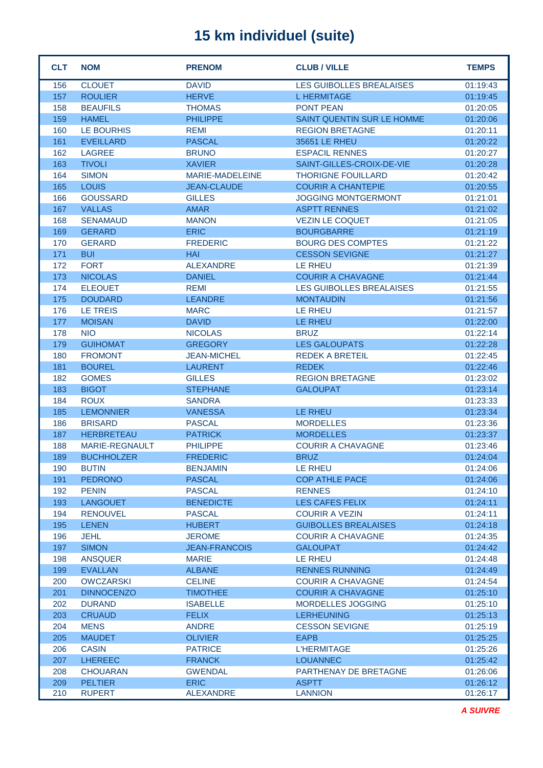| <b>CLT</b> | <b>NOM</b>            | <b>PRENOM</b>          | <b>CLUB / VILLE</b>               | <b>TEMPS</b> |
|------------|-----------------------|------------------------|-----------------------------------|--------------|
| 156        | <b>CLOUET</b>         | <b>DAVID</b>           | <b>LES GUIBOLLES BREALAISES</b>   | 01:19:43     |
| 157        | <b>ROULIER</b>        | <b>HERVE</b>           | <b>L HERMITAGE</b>                | 01:19:45     |
| 158        | <b>BEAUFILS</b>       | <b>THOMAS</b>          | <b>PONT PEAN</b>                  | 01:20:05     |
| 159        | <b>HAMEL</b>          | <b>PHILIPPE</b>        | <b>SAINT QUENTIN SUR LE HOMME</b> | 01:20:06     |
| 160        | LE BOURHIS            | <b>REMI</b>            | <b>REGION BRETAGNE</b>            | 01:20:11     |
| 161        | <b>EVEILLARD</b>      | <b>PASCAL</b>          | 35651 LE RHEU                     | 01:20:22     |
| 162        | <b>LAGREE</b>         | <b>BRUNO</b>           | <b>ESPACIL RENNES</b>             | 01:20:27     |
| 163        | <b>TIVOLI</b>         | <b>XAVIER</b>          | SAINT-GILLES-CROIX-DE-VIE         | 01:20:28     |
| 164        | <b>SIMON</b>          | <b>MARIE-MADELEINE</b> | <b>THORIGNE FOUILLARD</b>         | 01:20:42     |
| 165        | <b>LOUIS</b>          | <b>JEAN-CLAUDE</b>     | <b>COURIR A CHANTEPIE</b>         | 01:20:55     |
| 166        | <b>GOUSSARD</b>       | <b>GILLES</b>          | <b>JOGGING MONTGERMONT</b>        | 01:21:01     |
| 167        | <b>VALLAS</b>         | AMAR                   | <b>ASPTT RENNES</b>               | 01:21:02     |
| 168        | <b>SENAMAUD</b>       | <b>MANON</b>           | <b>VEZIN LE COQUET</b>            | 01:21:05     |
| 169        | <b>GERARD</b>         | <b>ERIC</b>            | <b>BOURGBARRE</b>                 | 01:21:19     |
| 170        | <b>GERARD</b>         | <b>FREDERIC</b>        | <b>BOURG DES COMPTES</b>          | 01:21:22     |
| 171        | <b>BUI</b>            | <b>HAI</b>             | <b>CESSON SEVIGNE</b>             | 01:21:27     |
| 172        | <b>FORT</b>           | <b>ALEXANDRE</b>       | <b>LE RHEU</b>                    | 01:21:39     |
| 173        | <b>NICOLAS</b>        | <b>DANIEL</b>          | <b>COURIR A CHAVAGNE</b>          | 01:21:44     |
| 174        | <b>ELEOUET</b>        | <b>REMI</b>            | <b>LES GUIBOLLES BREALAISES</b>   | 01:21:55     |
| 175        | <b>DOUDARD</b>        | <b>LEANDRE</b>         | <b>MONTAUDIN</b>                  | 01:21:56     |
| 176        | <b>LE TREIS</b>       | <b>MARC</b>            | <b>LE RHEU</b>                    | 01:21:57     |
| 177        | <b>MOISAN</b>         | <b>DAVID</b>           | LE RHEU                           | 01:22:00     |
| 178        | <b>NIO</b>            | <b>NICOLAS</b>         | <b>BRUZ</b>                       | 01:22:14     |
| 179        | <b>GUIHOMAT</b>       | <b>GREGORY</b>         | <b>LES GALOUPATS</b>              | 01:22:28     |
| 180        | <b>FROMONT</b>        | <b>JEAN-MICHEL</b>     | <b>REDEK A BRETEIL</b>            | 01:22:45     |
| 181        | <b>BOUREL</b>         | <b>LAURENT</b>         | <b>REDEK</b>                      | 01:22:46     |
| 182        | <b>GOMES</b>          | <b>GILLES</b>          | <b>REGION BRETAGNE</b>            | 01:23:02     |
| 183        | <b>BIGOT</b>          | <b>STEPHANE</b>        | <b>GALOUPAT</b>                   | 01:23:14     |
| 184        | <b>ROUX</b>           | <b>SANDRA</b>          |                                   | 01:23:33     |
| 185        | <b>LEMONNIER</b>      | <b>VANESSA</b>         | LE RHEU                           | 01:23:34     |
| 186        | <b>BRISARD</b>        | <b>PASCAL</b>          | <b>MORDELLES</b>                  | 01:23:36     |
| 187        | <b>HERBRETEAU</b>     | <b>PATRICK</b>         | <b>MORDELLES</b>                  | 01:23:37     |
| 188        | <b>MARIE-REGNAULT</b> | <b>PHILIPPE</b>        | <b>COURIR A CHAVAGNE</b>          | 01:23:46     |
| 189        | <b>BUCHHOLZER</b>     | <b>FREDERIC</b>        | <b>BRUZ</b>                       | 01:24:04     |
| 190        | <b>BUTIN</b>          | <b>BENJAMIN</b>        | LE RHEU                           | 01:24:06     |
| 191        | <b>PEDRONO</b>        | <b>PASCAL</b>          | <b>COP ATHLE PACE</b>             | 01:24:06     |
| 192        | <b>PENIN</b>          | <b>PASCAL</b>          | <b>RENNES</b>                     | 01:24:10     |
| 193        | <b>LANGOUET</b>       | <b>BENEDICTE</b>       | LES CAFES FELIX                   | 01:24:11     |
| 194        | <b>RENOUVEL</b>       | <b>PASCAL</b>          | <b>COURIR A VEZIN</b>             | 01:24:11     |
| 195        | <b>LENEN</b>          | <b>HUBERT</b>          | <b>GUIBOLLES BREALAISES</b>       | 01:24:18     |
| 196        | <b>JEHL</b>           | <b>JEROME</b>          | <b>COURIR A CHAVAGNE</b>          | 01:24:35     |
| 197        | <b>SIMON</b>          | <b>JEAN-FRANCOIS</b>   | <b>GALOUPAT</b>                   | 01:24:42     |
| 198        | <b>ANSQUER</b>        | <b>MARIE</b>           | LE RHEU                           | 01:24:48     |
| 199        | <b>EVALLAN</b>        | <b>ALBANE</b>          | <b>RENNES RUNNING</b>             | 01:24:49     |
| 200        | <b>OWCZARSKI</b>      | <b>CELINE</b>          | <b>COURIR A CHAVAGNE</b>          | 01:24:54     |
| 201        | <b>DINNOCENZO</b>     | <b>TIMOTHEE</b>        | <b>COURIR A CHAVAGNE</b>          | 01:25:10     |
| 202        | <b>DURAND</b>         | <b>ISABELLE</b>        | MORDELLES JOGGING                 | 01:25:10     |
| 203        | <b>CRUAUD</b>         | <b>FELIX</b>           | <b>LERHEUNING</b>                 | 01:25:13     |
| 204        | <b>MENS</b>           | <b>ANDRE</b>           | <b>CESSON SEVIGNE</b>             | 01:25:19     |
| 205        | <b>MAUDET</b>         | <b>OLIVIER</b>         | <b>EAPB</b>                       | 01:25:25     |
| 206        | <b>CASIN</b>          | <b>PATRICE</b>         | <b>L'HERMITAGE</b>                | 01:25:26     |
| 207        | <b>LHEREEC</b>        | <b>FRANCK</b>          | <b>LOUANNEC</b>                   | 01:25:42     |
| 208        | <b>CHOUARAN</b>       | <b>GWENDAL</b>         | <b>PARTHENAY DE BRETAGNE</b>      | 01:26:06     |
| 209        | <b>PELTIER</b>        | <b>ERIC</b>            | <b>ASPTT</b>                      | 01:26:12     |
| 210        | <b>RUPERT</b>         | <b>ALEXANDRE</b>       | <b>LANNION</b>                    | 01:26:17     |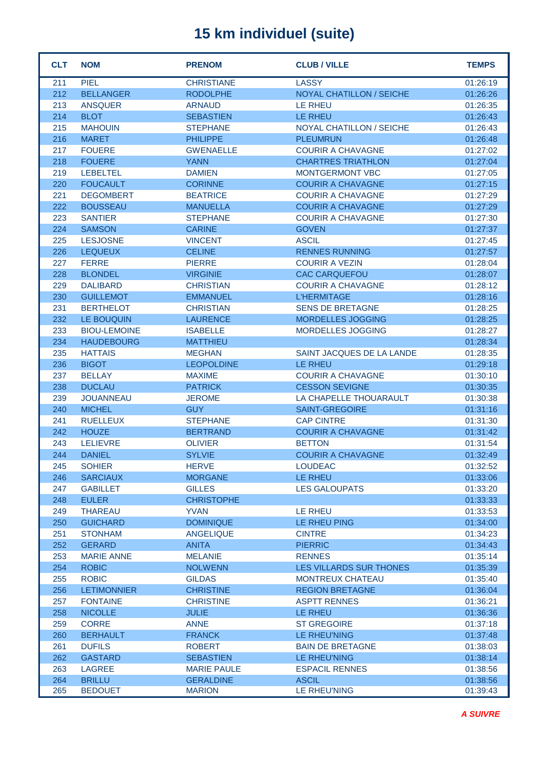| <b>CLT</b> | <b>NOM</b>          | <b>PRENOM</b>      | <b>CLUB / VILLE</b>             | <b>TEMPS</b> |
|------------|---------------------|--------------------|---------------------------------|--------------|
| 211        | <b>PIEL</b>         | <b>CHRISTIANE</b>  | <b>LASSY</b>                    | 01:26:19     |
| 212        | <b>BELLANGER</b>    | <b>RODOLPHE</b>    | <b>NOYAL CHATILLON / SEICHE</b> | 01:26:26     |
| 213        | <b>ANSQUER</b>      | <b>ARNAUD</b>      | <b>LE RHEU</b>                  | 01:26:35     |
| 214        | <b>BLOT</b>         | <b>SEBASTIEN</b>   | <b>LE RHEU</b>                  | 01:26:43     |
| 215        | <b>MAHOUIN</b>      | <b>STEPHANE</b>    | <b>NOYAL CHATILLON / SEICHE</b> | 01:26:43     |
| 216        | <b>MARET</b>        | <b>PHILIPPE</b>    | <b>PLEUMRUN</b>                 | 01:26:48     |
| 217        | <b>FOUERE</b>       | <b>GWENAELLE</b>   | <b>COURIR A CHAVAGNE</b>        | 01:27:02     |
| 218        | <b>FOUERE</b>       | <b>YANN</b>        | <b>CHARTRES TRIATHLON</b>       | 01:27:04     |
| 219        | <b>LEBELTEL</b>     | <b>DAMIEN</b>      | <b>MONTGERMONT VBC</b>          | 01:27:05     |
| 220        | <b>FOUCAULT</b>     | <b>CORINNE</b>     | <b>COURIR A CHAVAGNE</b>        | 01:27:15     |
| 221        | <b>DEGOMBERT</b>    | <b>BEATRICE</b>    | <b>COURIR A CHAVAGNE</b>        | 01:27:29     |
| 222        | <b>BOUSSEAU</b>     | <b>MANUELLA</b>    | <b>COURIR A CHAVAGNE</b>        | 01:27:29     |
| 223        | <b>SANTIER</b>      | <b>STEPHANE</b>    | <b>COURIR A CHAVAGNE</b>        | 01:27:30     |
| 224        | <b>SAMSON</b>       | <b>CARINE</b>      | <b>GOVEN</b>                    | 01:27:37     |
| 225        | <b>LESJOSNE</b>     | <b>VINCENT</b>     | <b>ASCIL</b>                    | 01:27:45     |
| 226        | <b>LEQUEUX</b>      | <b>CELINE</b>      | <b>RENNES RUNNING</b>           | 01:27:57     |
| 227        | <b>FERRE</b>        | <b>PIERRE</b>      | <b>COURIR A VEZIN</b>           | 01:28:04     |
| 228        | <b>BLONDEL</b>      | <b>VIRGINIE</b>    | <b>CAC CARQUEFOU</b>            | 01:28:07     |
| 229        | <b>DALIBARD</b>     | <b>CHRISTIAN</b>   | <b>COURIR A CHAVAGNE</b>        | 01:28:12     |
| 230        | <b>GUILLEMOT</b>    | <b>EMMANUEL</b>    | <b>L'HERMITAGE</b>              | 01:28:16     |
| 231        | <b>BERTHELOT</b>    | <b>CHRISTIAN</b>   | <b>SENS DE BRETAGNE</b>         | 01:28:25     |
| 232        | LE BOUQUIN          | <b>LAURENCE</b>    | <b>MORDELLES JOGGING</b>        | 01:28:25     |
| 233        | <b>BIOU-LEMOINE</b> | <b>ISABELLE</b>    | MORDELLES JOGGING               | 01:28:27     |
| 234        | <b>HAUDEBOURG</b>   | <b>MATTHIEU</b>    |                                 | 01:28:34     |
| 235        | <b>HATTAIS</b>      | <b>MEGHAN</b>      | SAINT JACQUES DE LA LANDE       | 01:28:35     |
| 236        | <b>BIGOT</b>        | <b>LEOPOLDINE</b>  | <b>LE RHEU</b>                  | 01:29:18     |
| 237        | <b>BELLAY</b>       | <b>MAXIME</b>      | <b>COURIR A CHAVAGNE</b>        | 01:30:10     |
| 238        | <b>DUCLAU</b>       | <b>PATRICK</b>     | <b>CESSON SEVIGNE</b>           | 01:30:35     |
| 239        | <b>JOUANNEAU</b>    | <b>JEROME</b>      | LA CHAPELLE THOUARAULT          | 01:30:38     |
| 240        | <b>MICHEL</b>       | <b>GUY</b>         | <b>SAINT-GREGOIRE</b>           | 01:31:16     |
| 241        | <b>RUELLEUX</b>     | <b>STEPHANE</b>    | <b>CAP CINTRE</b>               | 01:31:30     |
| 242        | <b>HOUZE</b>        | <b>BERTRAND</b>    | <b>COURIR A CHAVAGNE</b>        | 01:31:42     |
| 243        | <b>LELIEVRE</b>     | <b>OLIVIER</b>     | <b>BETTON</b>                   | 01:31:54     |
| 244        | <b>DANIEL</b>       | <b>SYLVIE</b>      | <b>COURIR A CHAVAGNE</b>        | 01:32:49     |
| 245        | <b>SOHIER</b>       | <b>HERVE</b>       | <b>LOUDEAC</b>                  | 01:32:52     |
| 246        | <b>SARCIAUX</b>     | <b>MORGANE</b>     | LE RHEU                         | 01:33:06     |
| 247        | <b>GABILLET</b>     | <b>GILLES</b>      | <b>LES GALOUPATS</b>            | 01:33:20     |
| 248        | <b>EULER</b>        | <b>CHRISTOPHE</b>  |                                 | 01:33:33     |
| 249        | <b>THAREAU</b>      | <b>YVAN</b>        | LE RHEU                         | 01:33:53     |
| 250        | <b>GUICHARD</b>     | <b>DOMINIQUE</b>   | LE RHEU PING                    | 01:34:00     |
| 251        | <b>STONHAM</b>      | <b>ANGELIQUE</b>   | <b>CINTRE</b>                   | 01:34:23     |
| 252        | <b>GERARD</b>       | <b>ANITA</b>       | <b>PIERRIC</b>                  | 01:34:43     |
| 253        | <b>MARIE ANNE</b>   | <b>MELANIE</b>     | <b>RENNES</b>                   | 01:35:14     |
| 254        | <b>ROBIC</b>        | <b>NOLWENN</b>     | LES VILLARDS SUR THONES         | 01:35:39     |
| 255        | <b>ROBIC</b>        | <b>GILDAS</b>      | <b>MONTREUX CHATEAU</b>         | 01:35:40     |
| 256        | <b>LETIMONNIER</b>  | <b>CHRISTINE</b>   | <b>REGION BRETAGNE</b>          | 01:36:04     |
| 257        | <b>FONTAINE</b>     | <b>CHRISTINE</b>   | <b>ASPTT RENNES</b>             | 01:36:21     |
| 258        | <b>NICOLLE</b>      | <b>JULIE</b>       | LE RHEU                         | 01:36:36     |
| 259        | <b>CORRE</b>        | <b>ANNE</b>        | <b>ST GREGOIRE</b>              | 01:37:18     |
| 260        | <b>BERHAULT</b>     | <b>FRANCK</b>      | LE RHEU'NING                    | 01:37:48     |
| 261        | <b>DUFILS</b>       | <b>ROBERT</b>      | <b>BAIN DE BRETAGNE</b>         | 01:38:03     |
| 262        | <b>GASTARD</b>      | <b>SEBASTIEN</b>   | LE RHEU'NING                    | 01:38:14     |
| 263        | <b>LAGREE</b>       | <b>MARIE PAULE</b> | <b>ESPACIL RENNES</b>           | 01:38:56     |
| 264        | <b>BRILLU</b>       | <b>GERALDINE</b>   | <b>ASCIL</b>                    | 01:38:56     |
| 265        | <b>BEDOUET</b>      | <b>MARION</b>      | LE RHEU'NING                    | 01:39:43     |